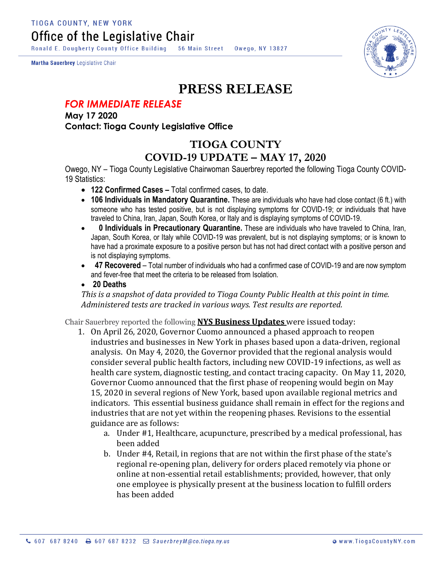Ronald E. Dougherty County Office Building 56 Main Street Owego, NY 13827

Martha Sauerbrey Legislative Chair



## **PRESS RELEASE**

## *FOR IMMEDIATE RELEASE*

**May 17 2020 Contact: Tioga County Legislative Office**

## **TIOGA COUNTY COVID-19 UPDATE – MAY 17, 2020**

Owego, NY – Tioga County Legislative Chairwoman Sauerbrey reported the following Tioga County COVID-19 Statistics:

- **122 Confirmed Cases –** Total confirmed cases, to date.
- **106 Individuals in Mandatory Quarantine.** These are individuals who have had close contact (6 ft.) with someone who has tested positive, but is not displaying symptoms for COVID-19; or individuals that have traveled to China, Iran, Japan, South Korea, or Italy and is displaying symptoms of COVID-19.
- **0 Individuals in Precautionary Quarantine.** These are individuals who have traveled to China, Iran, Japan, South Korea, or Italy while COVID-19 was prevalent, but is not displaying symptoms; or is known to have had a proximate exposure to a positive person but has not had direct contact with a positive person and is not displaying symptoms.
- **47 Recovered** Total number of individuals who had a confirmed case of COVID-19 and are now symptom and fever-free that meet the criteria to be released from Isolation.
- **20 Deaths**

*This is a snapshot of data provided to Tioga County Public Health at this point in time. Administered tests are tracked in various ways. Test results are reported.*

Chair Sauerbrey reported the following **NYS Business Updates** were issued today:

- 1. On April 26, 2020, Governor Cuomo announced a phased approach to reopen industries and businesses in New York in phases based upon a data-driven, regional analysis. On May 4, 2020, the Governor provided that the regional analysis would consider several public health factors, including new COVID-19 infections, as well as health care system, diagnostic testing, and contact tracing capacity. On May 11, 2020, Governor Cuomo announced that the first phase of reopening would begin on May 15, 2020 in several regions of New York, based upon available regional metrics and indicators. This essential business guidance shall remain in effect for the regions and industries that are not yet within the reopening phases. Revisions to the essential guidance are as follows:
	- a. Under #1, Healthcare, acupuncture, prescribed by a medical professional, has been added
	- b. Under #4, Retail, in regions that are not within the first phase of the state's regional re-opening plan, delivery for orders placed remotely via phone or online at non-essential retail establishments; provided, however, that only one employee is physically present at the business location to fulfill orders has been added